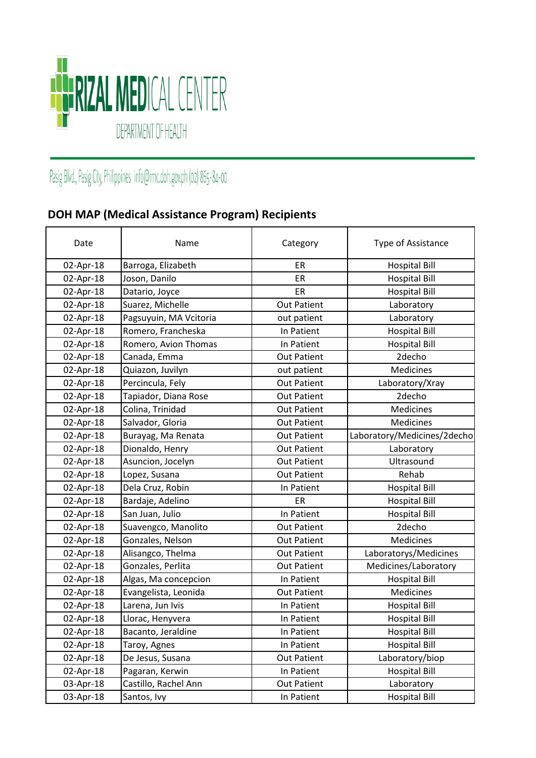

## Pasig Blvd., Pasig City, Philippines info@rmc.doh.gov.ph (02) 865-84-00

## **DOH MAP (Medical Assistance Program) Recipients**

| Date      | Name                   | Category           | Type of Assistance          |
|-----------|------------------------|--------------------|-----------------------------|
| 02-Apr-18 | Barroga, Elizabeth     | ER                 | <b>Hospital Bill</b>        |
| 02-Apr-18 | Joson, Danilo          | ER                 | <b>Hospital Bill</b>        |
| 02-Apr-18 | Datario, Joyce         | ER                 | <b>Hospital Bill</b>        |
| 02-Apr-18 | Suarez, Michelle       | <b>Out Patient</b> | Laboratory                  |
| 02-Apr-18 | Pagsuyuin, MA Vcitoria | out patient        | Laboratory                  |
| 02-Apr-18 | Romero, Francheska     | In Patient         | <b>Hospital Bill</b>        |
| 02-Apr-18 | Romero, Avion Thomas   | In Patient         | <b>Hospital Bill</b>        |
| 02-Apr-18 | Canada, Emma           | <b>Out Patient</b> | 2decho                      |
| 02-Apr-18 | Quiazon, Juvilyn       | out patient        | Medicines                   |
| 02-Apr-18 | Percincula, Fely       | <b>Out Patient</b> | Laboratory/Xray             |
| 02-Apr-18 | Tapiador, Diana Rose   | <b>Out Patient</b> | 2decho                      |
| 02-Apr-18 | Colina, Trinidad       | <b>Out Patient</b> | Medicines                   |
| 02-Apr-18 | Salvador, Gloria       | <b>Out Patient</b> | <b>Medicines</b>            |
| 02-Apr-18 | Burayag, Ma Renata     | <b>Out Patient</b> | Laboratory/Medicines/2decho |
| 02-Apr-18 | Dionaldo, Henry        | <b>Out Patient</b> | Laboratory                  |
| 02-Apr-18 | Asuncion, Jocelyn      | <b>Out Patient</b> | Ultrasound                  |
| 02-Apr-18 | Lopez, Susana          | <b>Out Patient</b> | Rehab                       |
| 02-Apr-18 | Dela Cruz, Robin       | In Patient         | <b>Hospital Bill</b>        |
| 02-Apr-18 | Bardaje, Adelino       | ER                 | <b>Hospital Bill</b>        |
| 02-Apr-18 | San Juan, Julio        | In Patient         | <b>Hospital Bill</b>        |
| 02-Apr-18 | Suavengco, Manolito    | <b>Out Patient</b> | 2decho                      |
| 02-Apr-18 | Gonzales, Nelson       | <b>Out Patient</b> | Medicines                   |
| 02-Apr-18 | Alisangco, Thelma      | <b>Out Patient</b> | Laboratorys/Medicines       |
| 02-Apr-18 | Gonzales, Perlita      | <b>Out Patient</b> | Medicines/Laboratory        |
| 02-Apr-18 | Algas, Ma concepcion   | In Patient         | <b>Hospital Bill</b>        |
| 02-Apr-18 | Evangelista, Leonida   | <b>Out Patient</b> | Medicines                   |
| 02-Apr-18 | Larena, Jun Ivis       | In Patient         | <b>Hospital Bill</b>        |
| 02-Apr-18 | Llorac, Henyvera       | In Patient         | <b>Hospital Bill</b>        |
| 02-Apr-18 | Bacanto, Jeraldine     | In Patient         | <b>Hospital Bill</b>        |
| 02-Apr-18 | Taroy, Agnes           | In Patient         | <b>Hospital Bill</b>        |
| 02-Apr-18 | De Jesus, Susana       | Out Patient        | Laboratory/biop             |
| 02-Apr-18 | Pagaran, Kerwin        | In Patient         | <b>Hospital Bill</b>        |
| 03-Apr-18 | Castillo, Rachel Ann   | <b>Out Patient</b> | Laboratory                  |
| 03-Apr-18 | Santos, Ivy            | In Patient         | <b>Hospital Bill</b>        |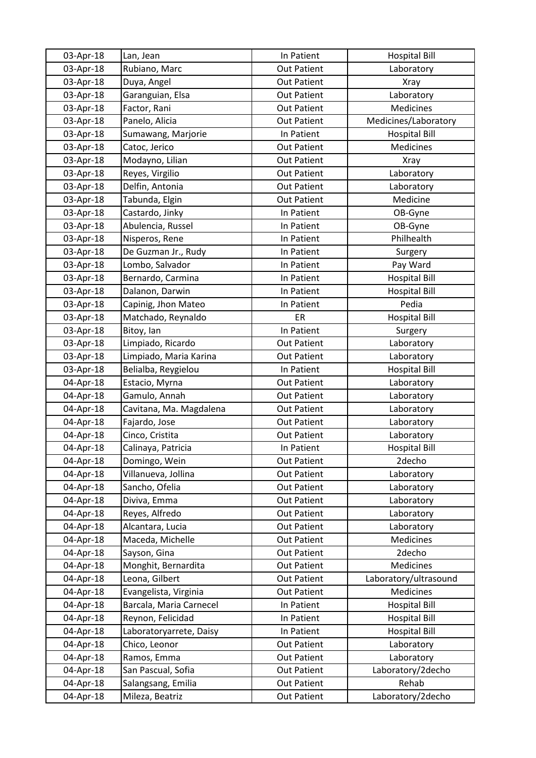| 03-Apr-18 | Lan, Jean               | In Patient         | <b>Hospital Bill</b>  |
|-----------|-------------------------|--------------------|-----------------------|
| 03-Apr-18 | Rubiano, Marc           | <b>Out Patient</b> | Laboratory            |
| 03-Apr-18 | Duya, Angel             | <b>Out Patient</b> | Xray                  |
| 03-Apr-18 | Garanguian, Elsa        | <b>Out Patient</b> | Laboratory            |
| 03-Apr-18 | Factor, Rani            | <b>Out Patient</b> | Medicines             |
| 03-Apr-18 | Panelo, Alicia          | Out Patient        | Medicines/Laboratory  |
| 03-Apr-18 | Sumawang, Marjorie      | In Patient         | <b>Hospital Bill</b>  |
| 03-Apr-18 | Catoc, Jerico           | <b>Out Patient</b> | Medicines             |
| 03-Apr-18 | Modayno, Lilian         | <b>Out Patient</b> | <b>Xray</b>           |
| 03-Apr-18 | Reyes, Virgilio         | <b>Out Patient</b> | Laboratory            |
| 03-Apr-18 | Delfin, Antonia         | <b>Out Patient</b> | Laboratory            |
| 03-Apr-18 | Tabunda, Elgin          | <b>Out Patient</b> | Medicine              |
| 03-Apr-18 | Castardo, Jinky         | In Patient         | OB-Gyne               |
| 03-Apr-18 | Abulencia, Russel       | In Patient         | OB-Gyne               |
| 03-Apr-18 | Nisperos, Rene          | In Patient         | Philhealth            |
| 03-Apr-18 | De Guzman Jr., Rudy     | In Patient         | Surgery               |
| 03-Apr-18 | Lombo, Salvador         | In Patient         | Pay Ward              |
| 03-Apr-18 | Bernardo, Carmina       | In Patient         | <b>Hospital Bill</b>  |
| 03-Apr-18 | Dalanon, Darwin         | In Patient         | <b>Hospital Bill</b>  |
| 03-Apr-18 | Capinig, Jhon Mateo     | In Patient         | Pedia                 |
| 03-Apr-18 | Matchado, Reynaldo      | ER                 | <b>Hospital Bill</b>  |
| 03-Apr-18 | Bitoy, lan              | In Patient         | Surgery               |
| 03-Apr-18 | Limpiado, Ricardo       | <b>Out Patient</b> | Laboratory            |
| 03-Apr-18 | Limpiado, Maria Karina  | <b>Out Patient</b> | Laboratory            |
| 03-Apr-18 | Belialba, Reygielou     | In Patient         | <b>Hospital Bill</b>  |
| 04-Apr-18 | Estacio, Myrna          | <b>Out Patient</b> | Laboratory            |
| 04-Apr-18 | Gamulo, Annah           | <b>Out Patient</b> | Laboratory            |
| 04-Apr-18 | Cavitana, Ma. Magdalena | <b>Out Patient</b> | Laboratory            |
| 04-Apr-18 | Fajardo, Jose           | <b>Out Patient</b> | Laboratory            |
| 04-Apr-18 | Cinco, Cristita         | <b>Out Patient</b> | Laboratory            |
| 04-Apr-18 | Calinaya, Patricia      | In Patient         | <b>Hospital Bill</b>  |
| 04-Apr-18 | Domingo, Wein           | <b>Out Patient</b> | 2decho                |
| 04-Apr-18 | Villanueva, Jollina     | <b>Out Patient</b> | Laboratory            |
| 04-Apr-18 | Sancho, Ofelia          | <b>Out Patient</b> | Laboratory            |
| 04-Apr-18 | Diviva, Emma            | <b>Out Patient</b> | Laboratory            |
| 04-Apr-18 | Reyes, Alfredo          | <b>Out Patient</b> | Laboratory            |
| 04-Apr-18 | Alcantara, Lucia        | <b>Out Patient</b> | Laboratory            |
| 04-Apr-18 | Maceda, Michelle        | <b>Out Patient</b> | Medicines             |
| 04-Apr-18 | Sayson, Gina            | <b>Out Patient</b> | 2decho                |
| 04-Apr-18 | Monghit, Bernardita     | <b>Out Patient</b> | <b>Medicines</b>      |
| 04-Apr-18 | Leona, Gilbert          | <b>Out Patient</b> | Laboratory/ultrasound |
| 04-Apr-18 | Evangelista, Virginia   | <b>Out Patient</b> | Medicines             |
| 04-Apr-18 | Barcala, Maria Carnecel | In Patient         | <b>Hospital Bill</b>  |
| 04-Apr-18 | Reynon, Felicidad       | In Patient         | <b>Hospital Bill</b>  |
| 04-Apr-18 | Laboratoryarrete, Daisy | In Patient         | <b>Hospital Bill</b>  |
| 04-Apr-18 | Chico, Leonor           | <b>Out Patient</b> | Laboratory            |
| 04-Apr-18 | Ramos, Emma             | <b>Out Patient</b> | Laboratory            |
| 04-Apr-18 | San Pascual, Sofia      | <b>Out Patient</b> | Laboratory/2decho     |
| 04-Apr-18 | Salangsang, Emilia      | <b>Out Patient</b> | Rehab                 |
| 04-Apr-18 | Mileza, Beatriz         | <b>Out Patient</b> | Laboratory/2decho     |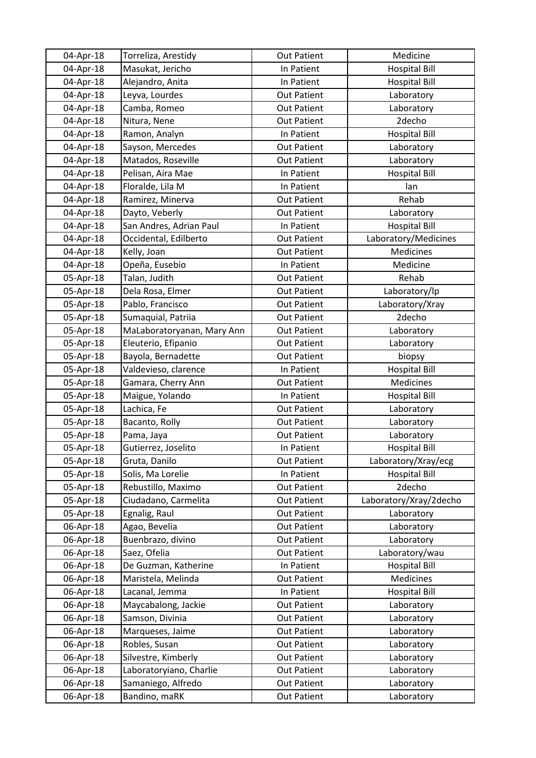| 04-Apr-18 | Torreliza, Arestidy        | <b>Out Patient</b> | Medicine               |
|-----------|----------------------------|--------------------|------------------------|
| 04-Apr-18 | Masukat, Jericho           | In Patient         | <b>Hospital Bill</b>   |
| 04-Apr-18 | Alejandro, Anita           | In Patient         | <b>Hospital Bill</b>   |
| 04-Apr-18 | Leyva, Lourdes             | <b>Out Patient</b> | Laboratory             |
| 04-Apr-18 | Camba, Romeo               | <b>Out Patient</b> | Laboratory             |
| 04-Apr-18 | Nitura, Nene               | <b>Out Patient</b> | 2decho                 |
| 04-Apr-18 | Ramon, Analyn              | In Patient         | <b>Hospital Bill</b>   |
| 04-Apr-18 | Sayson, Mercedes           | <b>Out Patient</b> | Laboratory             |
| 04-Apr-18 | Matados, Roseville         | <b>Out Patient</b> | Laboratory             |
| 04-Apr-18 | Pelisan, Aira Mae          | In Patient         | <b>Hospital Bill</b>   |
| 04-Apr-18 | Floralde, Lila M           | In Patient         | lan                    |
| 04-Apr-18 | Ramirez, Minerva           | <b>Out Patient</b> | Rehab                  |
| 04-Apr-18 | Dayto, Veberly             | <b>Out Patient</b> | Laboratory             |
| 04-Apr-18 | San Andres, Adrian Paul    | In Patient         | <b>Hospital Bill</b>   |
| 04-Apr-18 | Occidental, Edilberto      | <b>Out Patient</b> | Laboratory/Medicines   |
| 04-Apr-18 | Kelly, Joan                | <b>Out Patient</b> | Medicines              |
| 04-Apr-18 | Opeña, Eusebio             | In Patient         | Medicine               |
| 05-Apr-18 | Talan, Judith              | <b>Out Patient</b> | Rehab                  |
| 05-Apr-18 | Dela Rosa, Elmer           | <b>Out Patient</b> | Laboratory/lp          |
| 05-Apr-18 | Pablo, Francisco           | <b>Out Patient</b> | Laboratory/Xray        |
| 05-Apr-18 | Sumaquial, Patriia         | <b>Out Patient</b> | 2decho                 |
| 05-Apr-18 | MaLaboratoryanan, Mary Ann | <b>Out Patient</b> | Laboratory             |
| 05-Apr-18 | Eleuterio, Efipanio        | <b>Out Patient</b> | Laboratory             |
| 05-Apr-18 | Bayola, Bernadette         | <b>Out Patient</b> | biopsy                 |
| 05-Apr-18 | Valdevieso, clarence       | In Patient         | <b>Hospital Bill</b>   |
| 05-Apr-18 | Gamara, Cherry Ann         | <b>Out Patient</b> | Medicines              |
| 05-Apr-18 | Maigue, Yolando            | In Patient         | <b>Hospital Bill</b>   |
| 05-Apr-18 | Lachica, Fe                | <b>Out Patient</b> | Laboratory             |
| 05-Apr-18 | Bacanto, Rolly             | <b>Out Patient</b> | Laboratory             |
| 05-Apr-18 | Pama, Jaya                 | <b>Out Patient</b> | Laboratory             |
| 05-Apr-18 | Gutierrez, Joselito        | In Patient         | <b>Hospital Bill</b>   |
| 05-Apr-18 | Gruta, Danilo              | <b>Out Patient</b> | Laboratory/Xray/ecg    |
| 05-Apr-18 | Solis, Ma Lorelie          | In Patient         | <b>Hospital Bill</b>   |
| 05-Apr-18 | Rebustillo, Maximo         | <b>Out Patient</b> | 2decho                 |
| 05-Apr-18 | Ciudadano, Carmelita       | <b>Out Patient</b> | Laboratory/Xray/2decho |
| 05-Apr-18 | Egnalig, Raul              | <b>Out Patient</b> | Laboratory             |
| 06-Apr-18 | Agao, Bevelia              | Out Patient        | Laboratory             |
| 06-Apr-18 | Buenbrazo, divino          | <b>Out Patient</b> | Laboratory             |
| 06-Apr-18 | Saez, Ofelia               | <b>Out Patient</b> | Laboratory/wau         |
| 06-Apr-18 | De Guzman, Katherine       | In Patient         | <b>Hospital Bill</b>   |
| 06-Apr-18 | Maristela, Melinda         | <b>Out Patient</b> | Medicines              |
| 06-Apr-18 | Lacanal, Jemma             | In Patient         | <b>Hospital Bill</b>   |
| 06-Apr-18 | Maycabalong, Jackie        | <b>Out Patient</b> | Laboratory             |
| 06-Apr-18 | Samson, Divinia            | <b>Out Patient</b> | Laboratory             |
| 06-Apr-18 | Marqueses, Jaime           | <b>Out Patient</b> | Laboratory             |
| 06-Apr-18 | Robles, Susan              | <b>Out Patient</b> | Laboratory             |
| 06-Apr-18 | Silvestre, Kimberly        | <b>Out Patient</b> | Laboratory             |
| 06-Apr-18 | Laboratoryiano, Charlie    | <b>Out Patient</b> | Laboratory             |
| 06-Apr-18 | Samaniego, Alfredo         | <b>Out Patient</b> | Laboratory             |
| 06-Apr-18 | Bandino, maRK              | <b>Out Patient</b> | Laboratory             |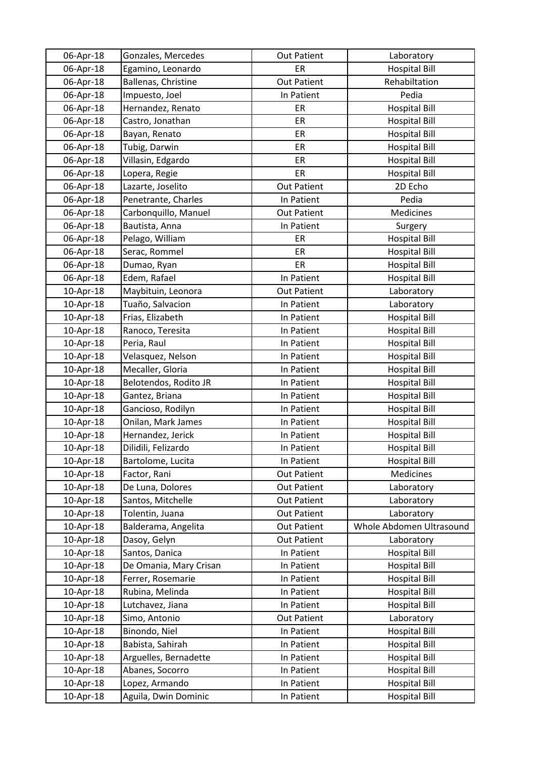| 06-Apr-18 | Gonzales, Mercedes     | <b>Out Patient</b> | Laboratory               |
|-----------|------------------------|--------------------|--------------------------|
| 06-Apr-18 | Egamino, Leonardo      | ER                 | <b>Hospital Bill</b>     |
| 06-Apr-18 | Ballenas, Christine    | <b>Out Patient</b> | Rehabiltation            |
| 06-Apr-18 | Impuesto, Joel         | In Patient         | Pedia                    |
| 06-Apr-18 | Hernandez, Renato      | ER                 | <b>Hospital Bill</b>     |
| 06-Apr-18 | Castro, Jonathan       | ER                 | <b>Hospital Bill</b>     |
| 06-Apr-18 | Bayan, Renato          | ER                 | <b>Hospital Bill</b>     |
| 06-Apr-18 | Tubig, Darwin          | ER                 | <b>Hospital Bill</b>     |
| 06-Apr-18 | Villasin, Edgardo      | ER                 | <b>Hospital Bill</b>     |
| 06-Apr-18 | Lopera, Regie          | ER                 | <b>Hospital Bill</b>     |
| 06-Apr-18 | Lazarte, Joselito      | <b>Out Patient</b> | 2D Echo                  |
| 06-Apr-18 | Penetrante, Charles    | In Patient         | Pedia                    |
| 06-Apr-18 | Carbonquillo, Manuel   | <b>Out Patient</b> | Medicines                |
| 06-Apr-18 | Bautista, Anna         | In Patient         | Surgery                  |
| 06-Apr-18 | Pelago, William        | ER                 | <b>Hospital Bill</b>     |
| 06-Apr-18 | Serac, Rommel          | ER                 | <b>Hospital Bill</b>     |
| 06-Apr-18 | Dumao, Ryan            | ER                 | <b>Hospital Bill</b>     |
| 06-Apr-18 | Edem, Rafael           | In Patient         | <b>Hospital Bill</b>     |
| 10-Apr-18 | Maybituin, Leonora     | <b>Out Patient</b> | Laboratory               |
| 10-Apr-18 | Tuaño, Salvacion       | In Patient         | Laboratory               |
| 10-Apr-18 | Frias, Elizabeth       | In Patient         | <b>Hospital Bill</b>     |
| 10-Apr-18 | Ranoco, Teresita       | In Patient         | <b>Hospital Bill</b>     |
| 10-Apr-18 | Peria, Raul            | In Patient         | <b>Hospital Bill</b>     |
| 10-Apr-18 | Velasquez, Nelson      | In Patient         | <b>Hospital Bill</b>     |
| 10-Apr-18 | Mecaller, Gloria       | In Patient         | <b>Hospital Bill</b>     |
| 10-Apr-18 | Belotendos, Rodito JR  | In Patient         | <b>Hospital Bill</b>     |
| 10-Apr-18 | Gantez, Briana         | In Patient         | <b>Hospital Bill</b>     |
| 10-Apr-18 | Gancioso, Rodilyn      | In Patient         | <b>Hospital Bill</b>     |
| 10-Apr-18 | Onilan, Mark James     | In Patient         | <b>Hospital Bill</b>     |
| 10-Apr-18 | Hernandez, Jerick      | In Patient         | <b>Hospital Bill</b>     |
| 10-Apr-18 | Dilidili, Felizardo    | In Patient         | <b>Hospital Bill</b>     |
| 10-Apr-18 | Bartolome, Lucita      | In Patient         | <b>Hospital Bill</b>     |
| 10-Apr-18 | Factor, Rani           | <b>Out Patient</b> | Medicines                |
| 10-Apr-18 | De Luna, Dolores       | <b>Out Patient</b> | Laboratory               |
| 10-Apr-18 | Santos, Mitchelle      | <b>Out Patient</b> | Laboratory               |
| 10-Apr-18 | Tolentin, Juana        | <b>Out Patient</b> | Laboratory               |
| 10-Apr-18 | Balderama, Angelita    | Out Patient        | Whole Abdomen Ultrasound |
| 10-Apr-18 | Dasoy, Gelyn           | <b>Out Patient</b> | Laboratory               |
| 10-Apr-18 | Santos, Danica         | In Patient         | <b>Hospital Bill</b>     |
| 10-Apr-18 | De Omania, Mary Crisan | In Patient         | <b>Hospital Bill</b>     |
| 10-Apr-18 | Ferrer, Rosemarie      | In Patient         | <b>Hospital Bill</b>     |
| 10-Apr-18 | Rubina, Melinda        | In Patient         | <b>Hospital Bill</b>     |
| 10-Apr-18 | Lutchavez, Jiana       | In Patient         | <b>Hospital Bill</b>     |
| 10-Apr-18 | Simo, Antonio          | Out Patient        | Laboratory               |
| 10-Apr-18 | Binondo, Niel          | In Patient         | <b>Hospital Bill</b>     |
| 10-Apr-18 | Babista, Sahirah       | In Patient         | <b>Hospital Bill</b>     |
| 10-Apr-18 | Arguelles, Bernadette  | In Patient         | <b>Hospital Bill</b>     |
| 10-Apr-18 | Abanes, Socorro        | In Patient         | <b>Hospital Bill</b>     |
| 10-Apr-18 | Lopez, Armando         | In Patient         | <b>Hospital Bill</b>     |
| 10-Apr-18 | Aguila, Dwin Dominic   | In Patient         | <b>Hospital Bill</b>     |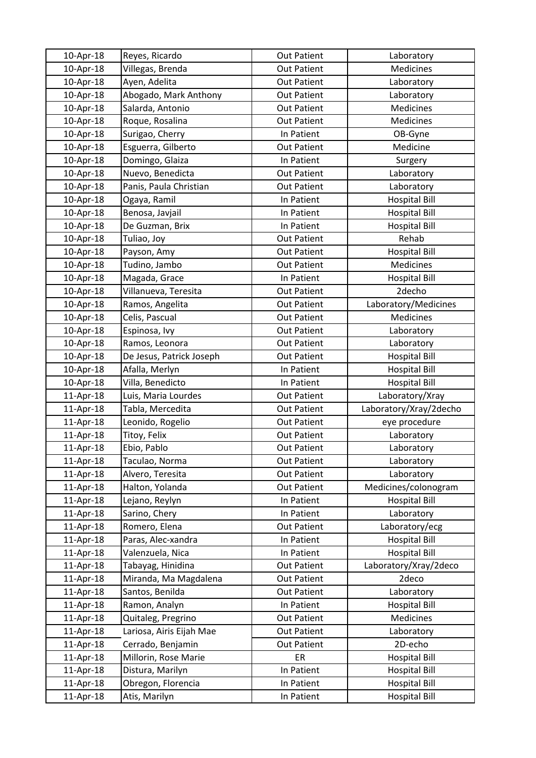| 10-Apr-18              | Reyes, Ricardo                      | <b>Out Patient</b>       | Laboratory                                   |
|------------------------|-------------------------------------|--------------------------|----------------------------------------------|
| 10-Apr-18              | Villegas, Brenda                    | <b>Out Patient</b>       | Medicines                                    |
| 10-Apr-18              | Ayen, Adelita                       | <b>Out Patient</b>       | Laboratory                                   |
| 10-Apr-18              | Abogado, Mark Anthony               | <b>Out Patient</b>       | Laboratory                                   |
| 10-Apr-18              | Salarda, Antonio                    | <b>Out Patient</b>       | Medicines                                    |
| 10-Apr-18              | Roque, Rosalina                     | <b>Out Patient</b>       | Medicines                                    |
| 10-Apr-18              | Surigao, Cherry                     | In Patient               | OB-Gyne                                      |
| 10-Apr-18              | Esguerra, Gilberto                  | <b>Out Patient</b>       | Medicine                                     |
| 10-Apr-18              | Domingo, Glaiza                     | In Patient               | Surgery                                      |
| 10-Apr-18              | Nuevo, Benedicta                    | <b>Out Patient</b>       | Laboratory                                   |
| 10-Apr-18              | Panis, Paula Christian              | <b>Out Patient</b>       | Laboratory                                   |
| 10-Apr-18              | Ogaya, Ramil                        | In Patient               | <b>Hospital Bill</b>                         |
| 10-Apr-18              | Benosa, Javjail                     | In Patient               | <b>Hospital Bill</b>                         |
| 10-Apr-18              | De Guzman, Brix                     | In Patient               | <b>Hospital Bill</b>                         |
| 10-Apr-18              | Tuliao, Joy                         | <b>Out Patient</b>       | Rehab                                        |
| 10-Apr-18              | Payson, Amy                         | <b>Out Patient</b>       | <b>Hospital Bill</b>                         |
| 10-Apr-18              | Tudino, Jambo                       | <b>Out Patient</b>       | Medicines                                    |
| 10-Apr-18              | Magada, Grace                       | In Patient               | <b>Hospital Bill</b>                         |
| 10-Apr-18              | Villanueva, Teresita                | <b>Out Patient</b>       | 2decho                                       |
| 10-Apr-18              | Ramos, Angelita                     | <b>Out Patient</b>       | Laboratory/Medicines                         |
| 10-Apr-18              | Celis, Pascual                      | <b>Out Patient</b>       | Medicines                                    |
| 10-Apr-18              | Espinosa, Ivy                       | <b>Out Patient</b>       | Laboratory                                   |
| 10-Apr-18              | Ramos, Leonora                      | <b>Out Patient</b>       | Laboratory                                   |
| 10-Apr-18              | De Jesus, Patrick Joseph            | <b>Out Patient</b>       | <b>Hospital Bill</b>                         |
| 10-Apr-18              | Afalla, Merlyn                      | In Patient               | <b>Hospital Bill</b>                         |
| 10-Apr-18              | Villa, Benedicto                    | In Patient               | <b>Hospital Bill</b>                         |
| 11-Apr-18              | Luis, Maria Lourdes                 | <b>Out Patient</b>       | Laboratory/Xray                              |
| 11-Apr-18              | Tabla, Mercedita                    | <b>Out Patient</b>       | Laboratory/Xray/2decho                       |
| 11-Apr-18              | Leonido, Rogelio                    | <b>Out Patient</b>       | eye procedure                                |
| 11-Apr-18              | Titoy, Felix                        | <b>Out Patient</b>       | Laboratory                                   |
| 11-Apr-18              | Ebio, Pablo                         | <b>Out Patient</b>       | Laboratory                                   |
| 11-Apr-18              | Taculao, Norma                      | <b>Out Patient</b>       | Laboratory                                   |
| 11-Apr-18              | Alvero, Teresita                    | <b>Out Patient</b>       | Laboratory                                   |
| 11-Apr-18              | Halton, Yolanda                     | <b>Out Patient</b>       | Medicines/colonogram                         |
| 11-Apr-18              | Lejano, Reylyn                      | In Patient               | <b>Hospital Bill</b>                         |
| 11-Apr-18              | Sarino, Chery                       | In Patient               | Laboratory                                   |
| 11-Apr-18              | Romero, Elena                       | <b>Out Patient</b>       | Laboratory/ecg                               |
| 11-Apr-18              | Paras, Alec-xandra                  | In Patient               | <b>Hospital Bill</b>                         |
| 11-Apr-18              | Valenzuela, Nica                    | In Patient               | <b>Hospital Bill</b>                         |
| 11-Apr-18              | Tabayag, Hinidina                   | <b>Out Patient</b>       | Laboratory/Xray/2deco                        |
| 11-Apr-18              | Miranda, Ma Magdalena               | <b>Out Patient</b>       | 2deco                                        |
| 11-Apr-18              | Santos, Benilda                     | <b>Out Patient</b>       | Laboratory                                   |
| 11-Apr-18              | Ramon, Analyn                       | In Patient               | <b>Hospital Bill</b>                         |
| 11-Apr-18              | Quitaleg, Pregrino                  | <b>Out Patient</b>       | <b>Medicines</b>                             |
| 11-Apr-18              | Lariosa, Airis Eijah Mae            | <b>Out Patient</b>       | Laboratory                                   |
| 11-Apr-18              | Cerrado, Benjamin                   | <b>Out Patient</b>       | 2D-echo                                      |
| 11-Apr-18              |                                     |                          |                                              |
|                        | Millorin, Rose Marie                | ER                       | <b>Hospital Bill</b>                         |
| 11-Apr-18              | Distura, Marilyn                    | In Patient               | <b>Hospital Bill</b>                         |
| 11-Apr-18<br>11-Apr-18 | Obregon, Florencia<br>Atis, Marilyn | In Patient<br>In Patient | <b>Hospital Bill</b><br><b>Hospital Bill</b> |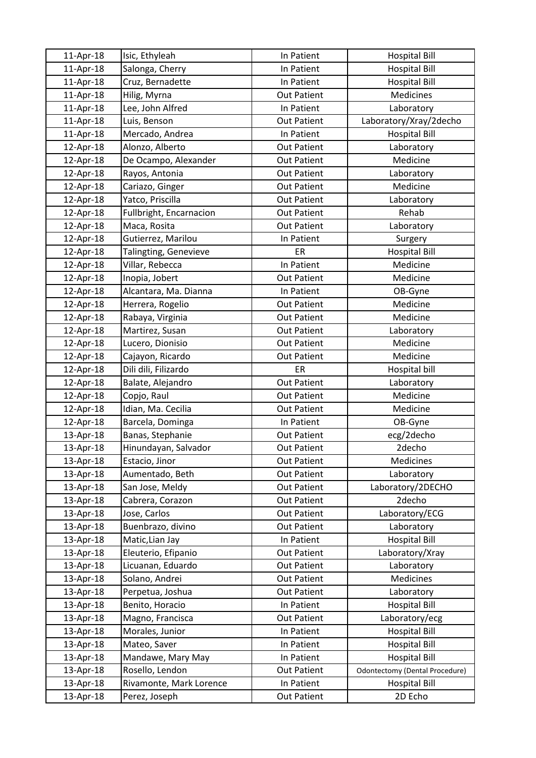| $11$ -Apr-18 | Isic, Ethyleah          | In Patient         | <b>Hospital Bill</b>                  |
|--------------|-------------------------|--------------------|---------------------------------------|
| 11-Apr-18    | Salonga, Cherry         | In Patient         | <b>Hospital Bill</b>                  |
| 11-Apr-18    | Cruz, Bernadette        | In Patient         | <b>Hospital Bill</b>                  |
| 11-Apr-18    | Hilig, Myrna            | <b>Out Patient</b> | Medicines                             |
| 11-Apr-18    | Lee, John Alfred        | In Patient         | Laboratory                            |
| 11-Apr-18    | Luis, Benson            | <b>Out Patient</b> | Laboratory/Xray/2decho                |
| 11-Apr-18    | Mercado, Andrea         | In Patient         | <b>Hospital Bill</b>                  |
| 12-Apr-18    | Alonzo, Alberto         | <b>Out Patient</b> | Laboratory                            |
| 12-Apr-18    | De Ocampo, Alexander    | <b>Out Patient</b> | Medicine                              |
| 12-Apr-18    | Rayos, Antonia          | <b>Out Patient</b> | Laboratory                            |
| 12-Apr-18    | Cariazo, Ginger         | <b>Out Patient</b> | Medicine                              |
| 12-Apr-18    | Yatco, Priscilla        | <b>Out Patient</b> | Laboratory                            |
| 12-Apr-18    | Fullbright, Encarnacion | <b>Out Patient</b> | Rehab                                 |
| 12-Apr-18    | Maca, Rosita            | <b>Out Patient</b> | Laboratory                            |
| 12-Apr-18    | Gutierrez, Marilou      | In Patient         | Surgery                               |
| 12-Apr-18    | Talingting, Genevieve   | ER                 | <b>Hospital Bill</b>                  |
| 12-Apr-18    | Villar, Rebecca         | In Patient         | Medicine                              |
| 12-Apr-18    | Inopia, Jobert          | <b>Out Patient</b> | Medicine                              |
| 12-Apr-18    | Alcantara, Ma. Dianna   | In Patient         | OB-Gyne                               |
| 12-Apr-18    | Herrera, Rogelio        | <b>Out Patient</b> | Medicine                              |
| 12-Apr-18    | Rabaya, Virginia        | <b>Out Patient</b> | Medicine                              |
| 12-Apr-18    | Martirez, Susan         | <b>Out Patient</b> | Laboratory                            |
| 12-Apr-18    | Lucero, Dionisio        | <b>Out Patient</b> | Medicine                              |
| 12-Apr-18    | Cajayon, Ricardo        | <b>Out Patient</b> | Medicine                              |
| 12-Apr-18    | Dili dili, Filizardo    | ER                 | Hospital bill                         |
| 12-Apr-18    | Balate, Alejandro       | <b>Out Patient</b> | Laboratory                            |
| 12-Apr-18    | Copjo, Raul             | <b>Out Patient</b> | Medicine                              |
| 12-Apr-18    | Idian, Ma. Cecilia      | <b>Out Patient</b> | Medicine                              |
| 12-Apr-18    | Barcela, Dominga        | In Patient         | OB-Gyne                               |
| 13-Apr-18    | Banas, Stephanie        | <b>Out Patient</b> | ecg/2decho                            |
| 13-Apr-18    | Hinundayan, Salvador    | <b>Out Patient</b> | 2decho                                |
| 13-Apr-18    | Estacio, Jinor          | <b>Out Patient</b> | Medicines                             |
| 13-Apr-18    | Aumentado, Beth         | <b>Out Patient</b> | Laboratory                            |
| 13-Apr-18    | San Jose, Meldy         | <b>Out Patient</b> | Laboratory/2DECHO                     |
| 13-Apr-18    | Cabrera, Corazon        | <b>Out Patient</b> | 2decho                                |
| 13-Apr-18    | Jose, Carlos            | <b>Out Patient</b> | Laboratory/ECG                        |
| 13-Apr-18    | Buenbrazo, divino       | Out Patient        | Laboratory                            |
| 13-Apr-18    | Matic, Lian Jay         | In Patient         | <b>Hospital Bill</b>                  |
| 13-Apr-18    | Eleuterio, Efipanio     | <b>Out Patient</b> | Laboratory/Xray                       |
| 13-Apr-18    | Licuanan, Eduardo       | <b>Out Patient</b> | Laboratory                            |
| 13-Apr-18    | Solano, Andrei          | <b>Out Patient</b> | Medicines                             |
| 13-Apr-18    | Perpetua, Joshua        | <b>Out Patient</b> | Laboratory                            |
| 13-Apr-18    | Benito, Horacio         | In Patient         | <b>Hospital Bill</b>                  |
| 13-Apr-18    | Magno, Francisca        | Out Patient        | Laboratory/ecg                        |
| 13-Apr-18    | Morales, Junior         | In Patient         | <b>Hospital Bill</b>                  |
| 13-Apr-18    | Mateo, Saver            | In Patient         | <b>Hospital Bill</b>                  |
| 13-Apr-18    | Mandawe, Mary May       | In Patient         | <b>Hospital Bill</b>                  |
| 13-Apr-18    | Rosello, Lendon         | <b>Out Patient</b> | <b>Odontectomy (Dental Procedure)</b> |
| 13-Apr-18    | Rivamonte, Mark Lorence | In Patient         | <b>Hospital Bill</b>                  |
| 13-Apr-18    | Perez, Joseph           | <b>Out Patient</b> | 2D Echo                               |